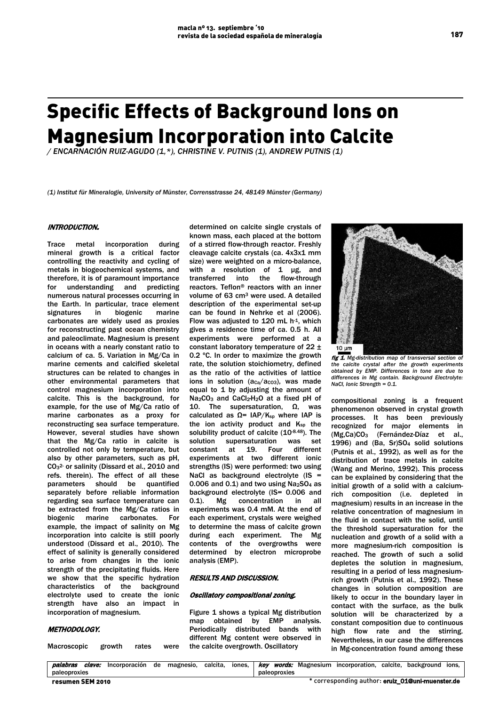# Specific Effects of Background Ions on Magnesium Incorporation into Calcite

*/ ENCARNACIÓN RUIZ-AGUDO (1,\*), CHRISTINE V. PUTNIS (1), ANDREW PUTNIS (1)*

*(1) Institut für Mineralogie, University of Münster, Corrensstrasse 24, 48149 Münster (Germany)*

# INTRODUCTION.

Trace metal incorporation during mineral growth is a critical factor controlling the reactivity and cycling of metals in biogeochemical systems, and therefore, it is of paramount importance for understanding and predicting numerous natural processes occurring in the Earth. In particular, trace element signatures in biogenic marine carbonates are widely used as proxies for reconstructing past ocean chemistry and paleoclimate. Magnesium is present in oceans with a nearly constant ratio to calcium of ca. 5. Variation in Mg/Ca in marine cements and calcified skeletal structures can be related to changes in other environmental parameters that control magnesium incorporation into calcite. This is the background, for example, for the use of Mg/Ca ratio of marine carbonates as a proxy for reconstructing sea surface temperature. However, several studies have shown that the Mg/Ca ratio in calcite is controlled not only by temperature, but also by other parameters, such as pH, CO<sub>3</sub><sup>2</sup> or salinity (Dissard et al., 2010 and refs. therein). The effect of all these parameters should be quantified separately before reliable information regarding sea surface temperature can be extracted from the Mg/Ca ratios in<br>biogenic marine carbonates. For carbonates. For example, the impact of salinity on Mg incorporation into calcite is still poorly understood (Dissard et al., 2010). The effect of salinity is generally considered to arise from changes in the ionic strength of the precipitating fluids. Here we show that the specific hydration characteristics of the background electrolyte used to create the ionic strength have also an impact in incorporation of magnesium.

# METHODOLOGY.

Macroscopic growth rates were

determined on calcite single crystals of known mass, each placed at the bottom of a stirred flow-through reactor. Freshly cleavage calcite crystals (ca. 4x3x1 mm size) were weighted on a micro-balance, with a resolution of 1 µg, and transferred into the flow-through reactors. Teflon® reactors with an inner volume of 63 cm3 were used. A detailed description of the experimental set-up can be found in Nehrke et al (2006). Flow was adjusted to  $120$  mL h<sup>-1</sup>, which gives a residence time of ca. 0.5 h. All experiments were performed at a constant laboratory temperature of 22 ± 0.2 ºC. In order to maximize the growth rate, the solution stoichiometry, defined as the ratio of the activities of lattice ions in solution  $(aca/acos)$ , was made equal to 1 by adjusting the amount of Na<sub>2</sub>CO<sub>3</sub> and CaCl<sub>2</sub>·H<sub>2</sub>O at a fixed pH of 10. The supersaturation, Ω, was calculated as  $Ω = IAP/K<sub>sp</sub>$  where IAP is the ion activity product and Ksp the solubility product of calcite (10-8.48). The solution supersaturation was set constant at 19. Four different experiments at two different ionic strengths (IS) were performed: two using NaCl as background electrolyte  $(IS =$ 0.006 and 0.1) and two using Na2SO4 as background electrolyte (IS= 0.006 and 0.1). Mg concentration in all experiments was 0.4 mM. At the end of each experiment, crystals were weighed to determine the mass of calcite grown during each experiment. The Mg contents of the overgrowths were determined by electron microprobe analysis (EMP).

#### RESULTS AND DISCUSSION.

#### Oscillatory compositional zoning.

Figure 1 shows a typical Mg distribution map obtained by EMP analysis. Periodically distributed bands with different Mg content were observed in the calcite overgrowth. Oscillatory



fig 1. Mg-distribution map of transversal section of *the calcite crystal after the growth experiments obtained by EMP. Differences in tone are due to differences in Mg contain. Background Electrolyte: NaCl, Ionic Strength = 0.1.* 

compositional zoning is a frequent phenomenon observed in crystal growth processes. It has been previously recognized for major elements in (Mg,Ca)CO3 (Fernández-Díaz et al., 1996) and (Ba, Sr)SO4 solid solutions (Putnis et al., 1992), as well as for the distribution of trace metals in calcite (Wang and Merino, 1992). This process can be explained by considering that the initial growth of a solid with a calciumrich composition (i.e. depleted in magnesium) results in an increase in the relative concentration of magnesium in the fluid in contact with the solid, until the threshold supersaturation for the nucleation and growth of a solid with a more magnesium-rich composition is reached. The growth of such a solid depletes the solution in magnesium, resulting in a period of less magnesiumrich growth (Putnis et al., 1992). These changes in solution composition are likely to occur in the boundary layer in contact with the surface, as the bulk solution will be characterized by a constant composition due to continuous high flow rate and the stirring. Nevertheless, in our case the differences in Mg-concentration found among these

| palabras         | clave: | Incorporación de magnesio, |  |  | calcita. |              |  |  |  | iones,   key words: Magnesium incorporation, calcite, background ions, |  |  |  |
|------------------|--------|----------------------------|--|--|----------|--------------|--|--|--|------------------------------------------------------------------------|--|--|--|
| paleoproxies     |        |                            |  |  |          | paleoproxies |  |  |  |                                                                        |  |  |  |
| resumen SEM 2010 |        |                            |  |  |          |              |  |  |  | * corresponding author: eruiz_01@uni-muenster.de                       |  |  |  |